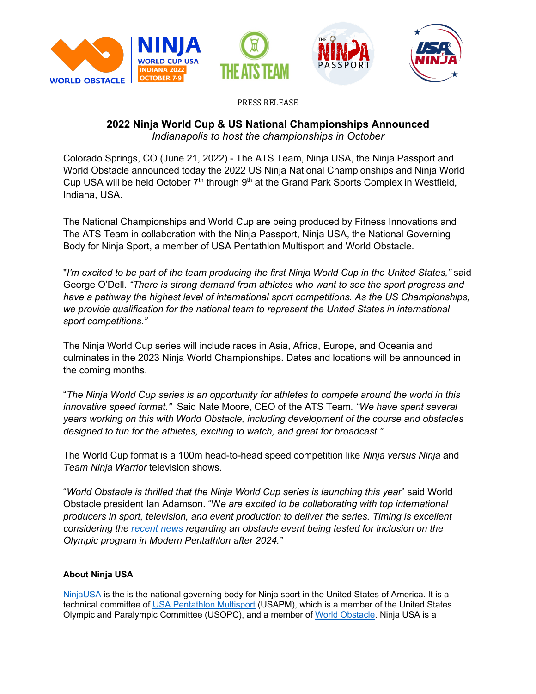







PRESS RELEASE

# **2022 Ninja World Cup & US National Championships Announced** *Indianapolis to host the championships in October*

Colorado Springs, CO (June 21, 2022) - The ATS Team, Ninja USA, the Ninja Passport and World Obstacle announced today the 2022 US Ninja National Championships and Ninja World Cup USA will be held October  $7<sup>th</sup>$  through  $9<sup>th</sup>$  at the Grand Park Sports Complex in Westfield, Indiana, USA.

The National Championships and World Cup are being produced by Fitness Innovations and The ATS Team in collaboration with the Ninja Passport, Ninja USA, the National Governing Body for Ninja Sport, a member of USA Pentathlon Multisport and World Obstacle.

"I'm excited to be part of the team producing the first Ninja World Cup in the United States," said George O'Dell*. "There is strong demand from athletes who want to see the sport progress and have a pathway the highest level of international sport competitions. As the US Championships, we provide qualification for the national team to represent the United States in international sport competitions."*

The Ninja World Cup series will include races in Asia, Africa, Europe, and Oceania and culminates in the 2023 Ninja World Championships. Dates and locations will be announced in the coming months.

"*The Ninja World Cup series is an opportunity for athletes to compete around the world in this innovative speed format."* Said Nate Moore, CEO of the ATS Team*. "We have spent several years working on this with World Obstacle, including development of the course and obstacles designed to fun for the athletes, exciting to watch, and great for broadcast."* 

The World Cup format is a 100m head-to-head speed competition like *Ninja versus Ninja* and *Team Ninja Warrior* television shows.

"*World Obstacle is thrilled that the Ninja World Cup series is launching this year*" said World Obstacle president Ian Adamson. "W*e are excited to be collaborating with top international producers in sport, television, and event production to deliver the series. Timing is excellent considering the recent news regarding an obstacle event being tested for inclusion on the Olympic program in Modern Pentathlon after 2024."* 

## **About Ninja USA**

NinjaUSA is the is the national governing body for Ninja sport in the United States of America. It is a technical committee of USA Pentathlon Multisport (USAPM), which is a member of the United States Olympic and Paralympic Committee (USOPC), and a member of World Obstacle. Ninja USA is a